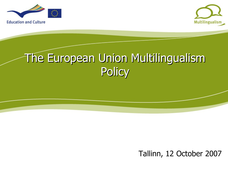



### The European Union Multilingualism **Policy**

Tallinn, 12 October 2007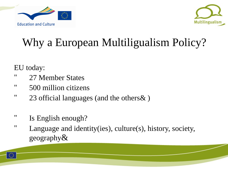



### Why a European Multiligualism Policy?

EU today:

- " 27 Member States
- " 500 million citizens
- " 23 official languages (and the others& )
- " Is English enough?
- " Language and identity(ies), culture(s), history, society, geography&

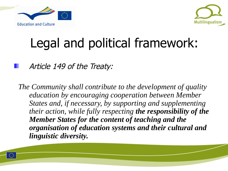



# Legal and political framework:

Article 149 of the Treaty:

*The Community shall contribute to the development of quality education by encouraging cooperation between Member States and, if necessary, by supporting and supplementing their action, while fully respecting the responsibility of the Member States for the content of teaching and the organisation of education systems and their cultural and linguistic diversity.*

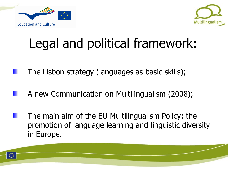



# Legal and political framework:

- The Lisbon strategy (languages as basic skills);
- A new Communication on Multilingualism (2008);
- The main aim of the EU Multilingualism Policy: the promotion of language learning and linguistic diversity in Europe.

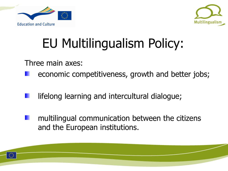



# EU Multilingualism Policy:

Three main axes:

- economic competitiveness, growth and better jobs;
- lifelong learning and intercultural dialogue;
- multilingual communication between the citizens and the European institutions.

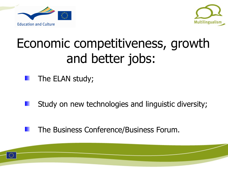



### Economic competitiveness, growth and better jobs:

The ELAN study;

- Study on new technologies and linguistic diversity;
- The Business Conference/Business Forum.

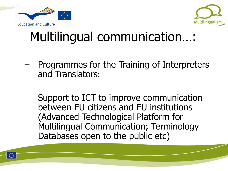



### Multilingual communication…:

- Programmes for the Training of Interpreters and Translators;
- Support to ICT to improve communication between EU citizens and EU institutions (Advanced Technological Platform for Multilingual Communication; Terminology Databases open to the public etc)

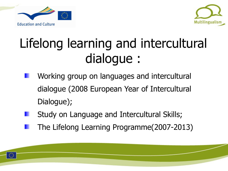



### Lifelong learning and intercultural dialogue :

- Working group on languages and intercultural dialogue (2008 European Year of Intercultural Dialogue);
- Study on Language and Intercultural Skills;
- The Lifelong Learning Programme(2007-2013)

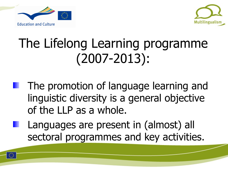



### The Lifelong Learning programme (2007-2013):

- The promotion of language learning and linguistic diversity is a general objective of the LLP as a whole.
- Languages are present in (almost) all sectoral programmes and key activities.

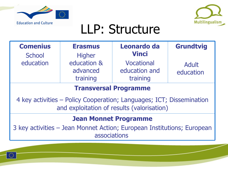



### LLP: Structure

| <b>Comenius</b><br><b>School</b>                                                                                   | <b>Erasmus</b><br><b>Higher</b>     | Leonardo da<br><b>Vinci</b>             | <b>Grundtvig</b>   |
|--------------------------------------------------------------------------------------------------------------------|-------------------------------------|-----------------------------------------|--------------------|
| education                                                                                                          | education &<br>advanced<br>training | Vocational<br>education and<br>training | Adult<br>education |
| <b>Transversal Programme</b>                                                                                       |                                     |                                         |                    |
| 4 key activities - Policy Cooperation; Languages; ICT; Dissemination<br>and exploitation of results (valorisation) |                                     |                                         |                    |
| <b>Jean Monnet Programme</b>                                                                                       |                                     |                                         |                    |
| 3 key activities - Jean Monnet Action; European Institutions; European<br>associations                             |                                     |                                         |                    |

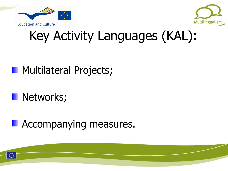



# Key Activity Languages (KAL):

#### **Multilateral Projects;**

#### **Networks;**

#### **Accompanying measures.**



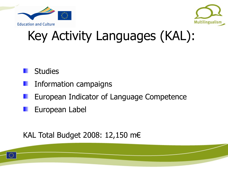



# Key Activity Languages (KAL):

#### **Studies**

- Information campaigns
- European Indicator of Language Competence
- European Label

#### KAL Total Budget 2008: 12,150 m€

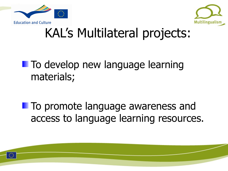



### KAL's Multilateral projects:

### **To develop new language learning** materials;

**To promote language awareness and** access to language learning resources.

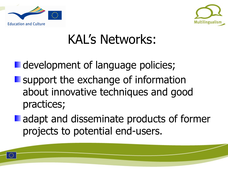



### KAL's Networks:

**development of language policies; Support the exchange of information** about innovative techniques and good practices;

**adapt and disseminate products of former** projects to potential end-users.



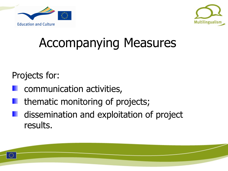



### Accompanying Measures

#### Projects for:

- communication activities,
- thematic monitoring of projects;
- dissemination and exploitation of project results.

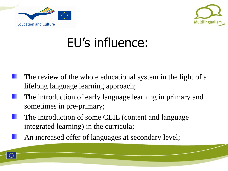



# EU's influence:

- The review of the whole educational system in the light of a lifelong language learning approach;
- The introduction of early language learning in primary and sometimes in pre-primary;
- The introduction of some CLIL (content and language integrated learning) in the curricula;
	- An increased offer of languages at secondary level;

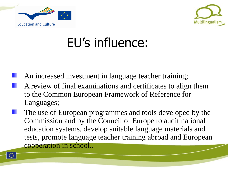



# EU's influence:

- An increased investment in language teacher training;
- A review of final examinations and certificates to align them to the Common European Framework of Reference for Languages;
- The use of European programmes and tools developed by the Commission and by the Council of Europe to audit national education systems, develop suitable language materials and tests, promote language teacher training abroad and European cooperation in school..